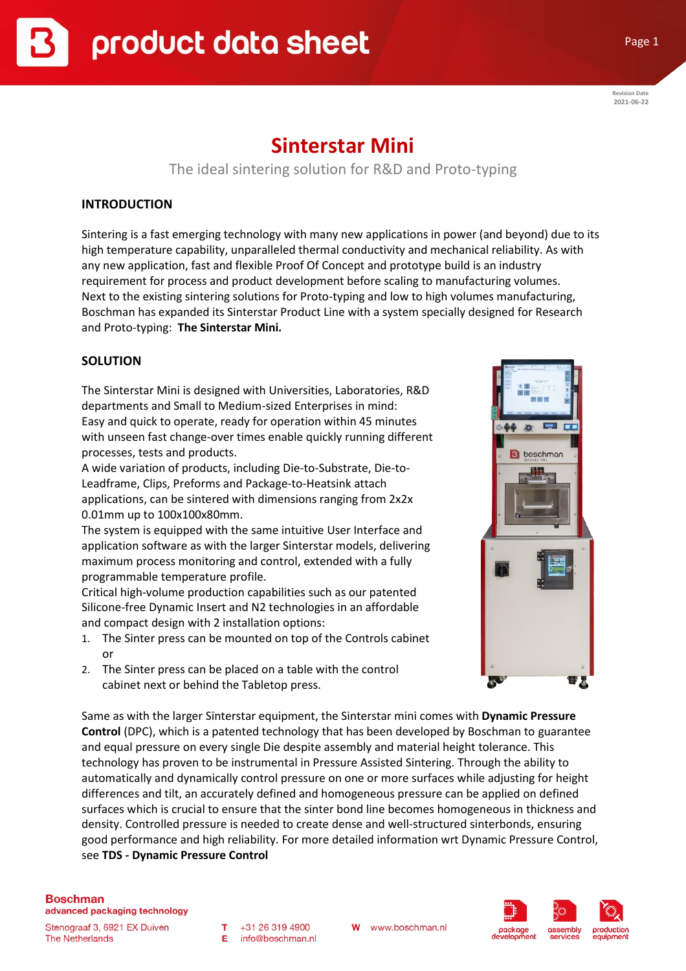**Revision Date 2021-06-22**

Page 1

# **Sinterstar Mini**

The ideal sintering solution for R&D and Proto-typing

# **INTRODUCTION**

Sintering is a fast emerging technology with many new applications in power (and beyond) due to its high temperature capability, unparalleled thermal conductivity and mechanical reliability. As with any new application, fast and flexible Proof Of Concept and prototype build is an industry requirement for process and product development before scaling to manufacturing volumes. Next to the existing sintering solutions for Proto-typing and low to high volumes manufacturing, Boschman has expanded its Sinterstar Product Line with a system specially designed for Research and Proto-typing: **The Sinterstar Mini.**

# **SOLUTION**

The Sinterstar Mini is designed with Universities, Laboratories, R&D departments and Small to Medium-sized Enterprises in mind: Easy and quick to operate, ready for operation within 45 minutes with unseen fast change-over times enable quickly running different processes, tests and products.

A wide variation of products, including Die-to-Substrate, Die-to-Leadframe, Clips, Preforms and Package-to-Heatsink attach applications, can be sintered with dimensions ranging from 2x2x 0.01mm up to 100x100x80mm.

The system is equipped with the same intuitive User Interface and application software as with the larger Sinterstar models, delivering maximum process monitoring and control, extended with a fully programmable temperature profile.

Critical high-volume production capabilities such as our patented Silicone-free Dynamic Insert and N2 technologies in an affordable and compact design with 2 installation options:

- 1. The Sinter press can be mounted on top of the Controls cabinet or
- 2. The Sinter press can be placed on a table with the control cabinet next or behind the Tabletop press.



Same as with the larger Sinterstar equipment, the Sinterstar mini comes with **Dynamic Pressure Control** (DPC), which is a patented technology that has been developed by Boschman to guarantee and equal pressure on every single Die despite assembly and material height tolerance. This technology has proven to be instrumental in Pressure Assisted Sintering. Through the ability to automatically and dynamically control pressure on one or more surfaces while adjusting for height differences and tilt, an accurately defined and homogeneous pressure can be applied on defined surfaces which is crucial to ensure that the sinter bond line becomes homogeneous in thickness and density. Controlled pressure is needed to create dense and well-structured sinterbonds, ensuring good performance and high reliability. For more detailed information wrt Dynamic Pressure Control, see **TDS - Dynamic Pressure Control**

## **Boschman**

advanced packaging technology

Stenograaf 3, 6921 EX Duiven **The Netherlands** 

 $T + 31263194900$ E info@boschman.nl



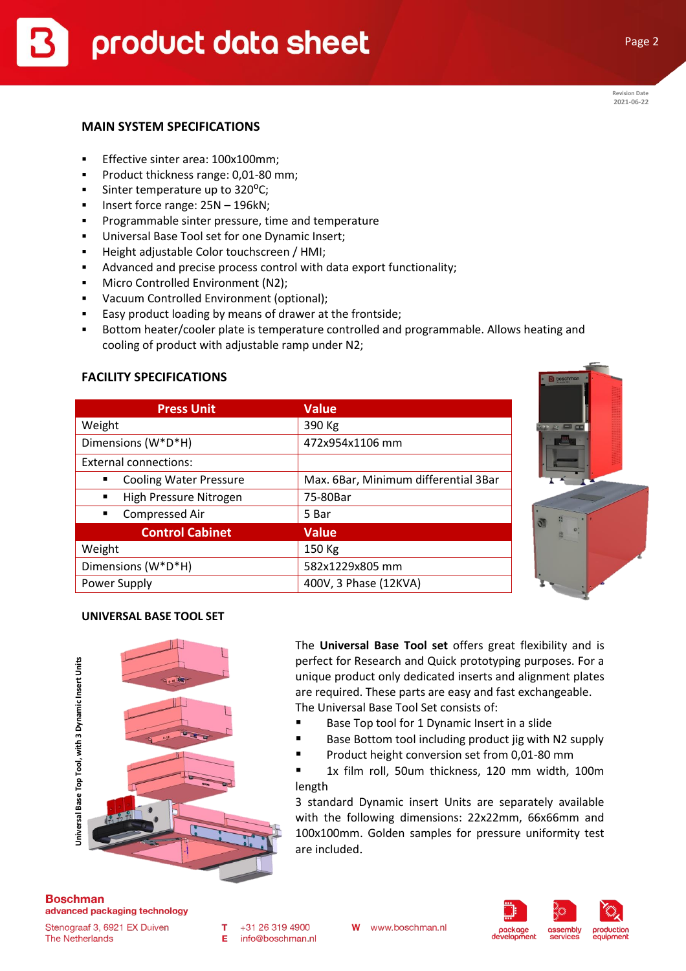# **MAIN SYSTEM SPECIFICATIONS**

- Effective sinter area: 100x100mm;
- **•** Product thickness range: 0,01-80 mm;
- **•** Sinter temperature up to  $320^{\circ}$ C;
- Insert force range: 25N 196kN;
- Programmable sinter pressure, time and temperature
- Universal Base Tool set for one Dynamic Insert;
- Height adjustable Color touchscreen / HMI;
- Advanced and precise process control with data export functionality;
- **■** Micro Controlled Environment (N2);
- Vacuum Controlled Environment (optional);
- Easy product loading by means of drawer at the frontside;
- **■** Bottom heater/cooler plate is temperature controlled and programmable. Allows heating and cooling of product with adjustable ramp under N2;

## **FACILITY SPECIFICATIONS**

| <b>Press Unit</b>                  | <b>Value</b>                         |
|------------------------------------|--------------------------------------|
| Weight                             | 390 Kg                               |
| Dimensions (W*D*H)                 | 472x954x1106 mm                      |
| External connections:              |                                      |
| <b>Cooling Water Pressure</b><br>٠ | Max. 6Bar, Minimum differential 3Bar |
| High Pressure Nitrogen<br>٠        | 75-80Bar                             |
| Compressed Air<br>$\blacksquare$   | 5 Bar                                |
| <b>Control Cabinet</b>             | <b>Value</b>                         |
| Weight                             | 150 Kg                               |
| Dimensions (W*D*H)                 | 582x1229x805 mm                      |
| Power Supply                       | 400V, 3 Phase (12KVA)                |



#### **UNIVERSAL BASE TOOL SET**



The **Universal Base Tool set** offers great flexibility and is perfect for Research and Quick prototyping purposes. For a unique product only dedicated inserts and alignment plates are required. These parts are easy and fast exchangeable. The Universal Base Tool Set consists of:

- Base Top tool for 1 Dynamic Insert in a slide
- Base Bottom tool including product jig with N2 supply
- Product height conversion set from 0,01-80 mm

■ 1x film roll, 50um thickness, 120 mm width, 100m length

3 standard Dynamic insert Units are separately available with the following dimensions: 22x22mm, 66x66mm and 100x100mm. Golden samples for pressure uniformity test are included.

#### **Boschman** advanced packaging technology

Stenograaf 3, 6921 EX Duiven **The Netherlands** 

W

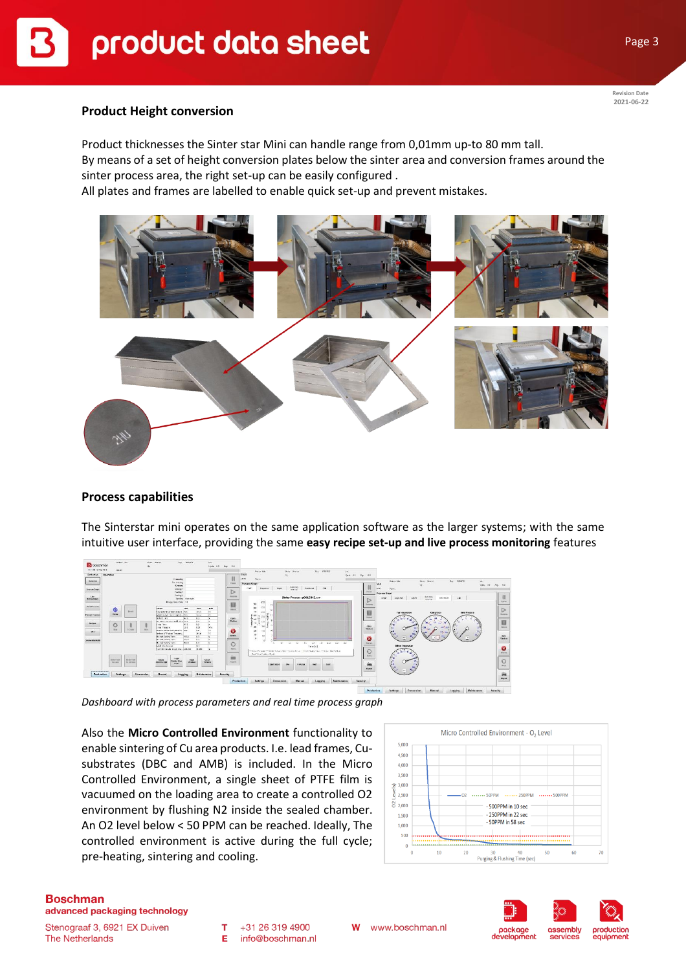**Revision Date 2021-06-22**

### **Product Height conversion**

Product thicknesses the Sinter star Mini can handle range from 0,01mm up-to 80 mm tall. By means of a set of height conversion plates below the sinter area and conversion frames around the sinter process area, the right set-up can be easily configured .

All plates and frames are labelled to enable quick set-up and prevent mistakes.



## **Process capabilities**

The Sinterstar mini operates on the same application software as the larger systems; with the same intuitive user interface, providing the same **easy recipe set-up and live process monitoring** features



*Dashboard with process parameters and real time process graph*

Also the **Micro Controlled Environment** functionality to enable sintering of Cu area products. I.e. lead frames, Cusubstrates (DBC and AMB) is included. In the Micro Controlled Environment, a single sheet of PTFE film is vacuumed on the loading area to create a controlled O2 environment by flushing N2 inside the sealed chamber. An O2 level below < 50 PPM can be reached. Ideally, The controlled environment is active during the full cycle; pre-heating, sintering and cooling.



# **Boschman**

advanced packaging technology

Stenograaf 3, 6921 EX Duiven **The Netherlands** 

+31 26 319 4900 т info@boschman.nl E

W www.boschman.nl

services